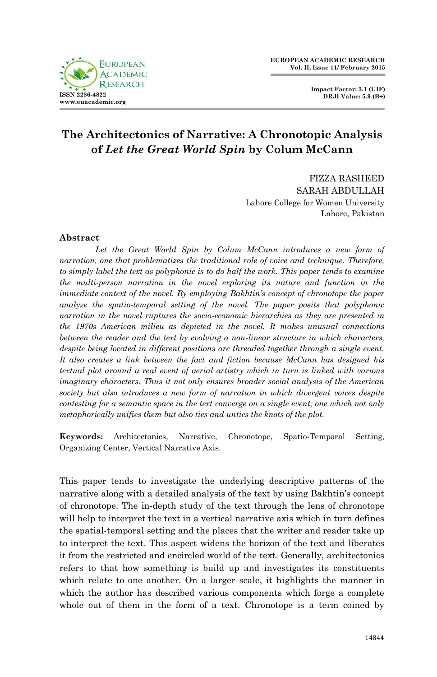

**Impact Factor: 3.1 (UIF) DRJI Value: 5.9 (B+)**

# **The Architectonics of Narrative: A Chronotopic Analysis of** *Let the Great World Spin* **by Colum McCann**

FIZZA RASHEED SARAH ABDULLAH Lahore College for Women University Lahore, Pakistan

# **Abstract**

Let the Great World Spin by Colum McCann introduces a new form of *narration, one that problematizes the traditional role of voice and technique. Therefore, to simply label the text as polyphonic is to do half the work. This paper tends to examine the multi-person narration in the novel exploring its nature and function in the immediate context of the novel. By employing Bakhtin's concept of chronotope the paper analyze the spatio-temporal setting of the novel. The paper posits that polyphonic narration in the novel ruptures the socio-economic hierarchies as they are presented in the 1970s American milieu as depicted in the novel. It makes unusual connections between the reader and the text by evolving a non-linear structure in which characters, despite being located in different positions are threaded together through a single event. It also creates a link between the fact and fiction because McCann has designed his textual plot around a real event of aerial artistry which in turn is linked with various imaginary characters. Thus it not only ensures broader social analysis of the American society but also introduces a new form of narration in which divergent voices despite contesting for a semantic space in the text converge on a single event; one which not only metaphorically unifies them but also ties and unties the knots of the plot.* 

**Keywords:** Architectonics, Narrative, Chronotope, Spatio-Temporal Setting, Organizing Center, Vertical Narrative Axis.

This paper tends to investigate the underlying descriptive patterns of the narrative along with a detailed analysis of the text by using Bakhtin"s concept of chronotope. The in-depth study of the text through the lens of chronotope will help to interpret the text in a vertical narrative axis which in turn defines the spatial-temporal setting and the places that the writer and reader take up to interpret the text. This aspect widens the horizon of the text and liberates it from the restricted and encircled world of the text. Generally, architectonics refers to that how something is build up and investigates its constituents which relate to one another. On a larger scale, it highlights the manner in which the author has described various components which forge a complete whole out of them in the form of a text. Chronotope is a term coined by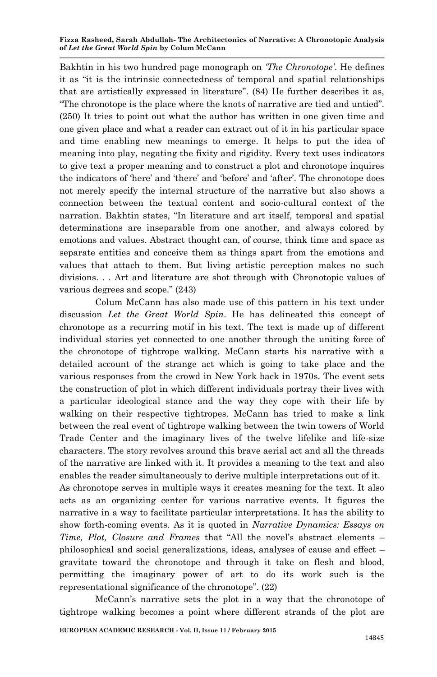Bakhtin in his two hundred page monograph on *'The Chronotope'*. He defines it as "it is the intrinsic connectedness of temporal and spatial relationships that are artistically expressed in literature". (84) He further describes it as, "The chronotope is the place where the knots of narrative are tied and untied". (250) It tries to point out what the author has written in one given time and one given place and what a reader can extract out of it in his particular space and time enabling new meanings to emerge. It helps to put the idea of meaning into play, negating the fixity and rigidity. Every text uses indicators to give text a proper meaning and to construct a plot and chronotope inquires the indicators of "here" and "there" and "before" and "after". The chronotope does not merely specify the internal structure of the narrative but also shows a connection between the textual content and socio-cultural context of the narration. Bakhtin states, "In literature and art itself, temporal and spatial determinations are inseparable from one another, and always colored by emotions and values. Abstract thought can, of course, think time and space as separate entities and conceive them as things apart from the emotions and values that attach to them. But living artistic perception makes no such divisions. . . Art and literature are shot through with Chronotopic values of various degrees and scope." (243)

Colum McCann has also made use of this pattern in his text under discussion *Let the Great World Spin*. He has delineated this concept of chronotope as a recurring motif in his text. The text is made up of different individual stories yet connected to one another through the uniting force of the chronotope of tightrope walking. McCann starts his narrative with a detailed account of the strange act which is going to take place and the various responses from the crowd in New York back in 1970s. The event sets the construction of plot in which different individuals portray their lives with a particular ideological stance and the way they cope with their life by walking on their respective tightropes. McCann has tried to make a link between the real event of tightrope walking between the twin towers of World Trade Center and the imaginary lives of the twelve lifelike and life-size characters. The story revolves around this brave aerial act and all the threads of the narrative are linked with it. It provides a meaning to the text and also enables the reader simultaneously to derive multiple interpretations out of it.

As chronotope serves in multiple ways it creates meaning for the text. It also acts as an organizing center for various narrative events. It figures the narrative in a way to facilitate particular interpretations. It has the ability to show forth-coming events. As it is quoted in *Narrative Dynamics: Essays on Time, Plot, Closure and Frames* that "All the novel"s abstract elements – philosophical and social generalizations, ideas, analyses of cause and effect – gravitate toward the chronotope and through it take on flesh and blood, permitting the imaginary power of art to do its work such is the representational significance of the chronotope". (22)

McCann"s narrative sets the plot in a way that the chronotope of tightrope walking becomes a point where different strands of the plot are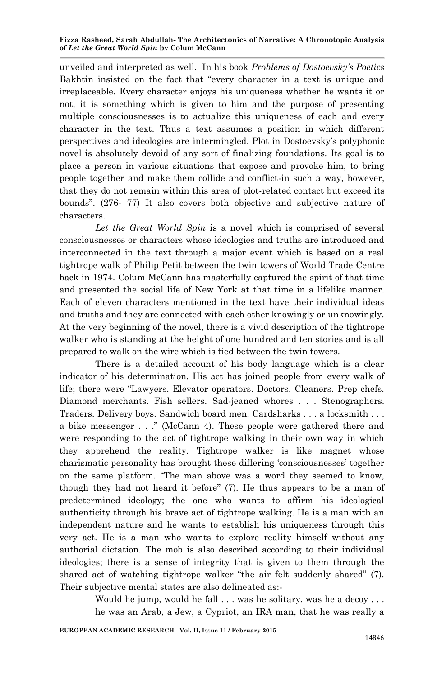unveiled and interpreted as well. In his book *Problems of Dostoevsky's Poetics*  Bakhtin insisted on the fact that "every character in a text is unique and irreplaceable. Every character enjoys his uniqueness whether he wants it or not, it is something which is given to him and the purpose of presenting multiple consciousnesses is to actualize this uniqueness of each and every character in the text. Thus a text assumes a position in which different perspectives and ideologies are intermingled. Plot in Dostoevsky"s polyphonic novel is absolutely devoid of any sort of finalizing foundations. Its goal is to place a person in various situations that expose and provoke him, to bring people together and make them collide and conflict-in such a way, however, that they do not remain within this area of plot-related contact but exceed its bounds". (276- 77) It also covers both objective and subjective nature of characters.

*Let the Great World Spin* is a novel which is comprised of several consciousnesses or characters whose ideologies and truths are introduced and interconnected in the text through a major event which is based on a real tightrope walk of Philip Petit between the twin towers of World Trade Centre back in 1974. Colum McCann has masterfully captured the spirit of that time and presented the social life of New York at that time in a lifelike manner. Each of eleven characters mentioned in the text have their individual ideas and truths and they are connected with each other knowingly or unknowingly. At the very beginning of the novel, there is a vivid description of the tightrope walker who is standing at the height of one hundred and ten stories and is all prepared to walk on the wire which is tied between the twin towers.

There is a detailed account of his body language which is a clear indicator of his determination. His act has joined people from every walk of life; there were "Lawyers. Elevator operators. Doctors. Cleaners. Prep chefs. Diamond merchants. Fish sellers. Sad-jeaned whores . . . Stenographers. Traders. Delivery boys. Sandwich board men. Cardsharks . . . a locksmith . . . a bike messenger . . ." (McCann 4). These people were gathered there and were responding to the act of tightrope walking in their own way in which they apprehend the reality. Tightrope walker is like magnet whose charismatic personality has brought these differing "consciousnesses" together on the same platform. "The man above was a word they seemed to know, though they had not heard it before" (7). He thus appears to be a man of predetermined ideology; the one who wants to affirm his ideological authenticity through his brave act of tightrope walking. He is a man with an independent nature and he wants to establish his uniqueness through this very act. He is a man who wants to explore reality himself without any authorial dictation. The mob is also described according to their individual ideologies; there is a sense of integrity that is given to them through the shared act of watching tightrope walker "the air felt suddenly shared" (7). Their subjective mental states are also delineated as:-

> Would he jump, would he fall . . . was he solitary, was he a decoy . . . he was an Arab, a Jew, a Cypriot, an IRA man, that he was really a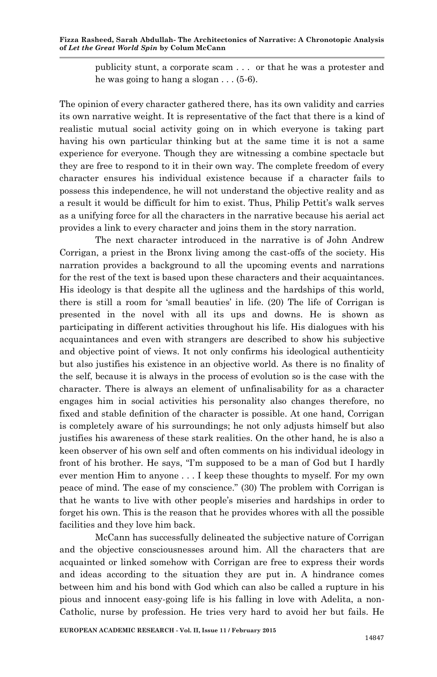publicity stunt, a corporate scam . . . or that he was a protester and he was going to hang a slogan . . . (5-6).

The opinion of every character gathered there, has its own validity and carries its own narrative weight. It is representative of the fact that there is a kind of realistic mutual social activity going on in which everyone is taking part having his own particular thinking but at the same time it is not a same experience for everyone. Though they are witnessing a combine spectacle but they are free to respond to it in their own way. The complete freedom of every character ensures his individual existence because if a character fails to possess this independence, he will not understand the objective reality and as a result it would be difficult for him to exist. Thus, Philip Pettit's walk serves as a unifying force for all the characters in the narrative because his aerial act provides a link to every character and joins them in the story narration.

The next character introduced in the narrative is of John Andrew Corrigan, a priest in the Bronx living among the cast-offs of the society. His narration provides a background to all the upcoming events and narrations for the rest of the text is based upon these characters and their acquaintances. His ideology is that despite all the ugliness and the hardships of this world, there is still a room for "small beauties" in life. (20) The life of Corrigan is presented in the novel with all its ups and downs. He is shown as participating in different activities throughout his life. His dialogues with his acquaintances and even with strangers are described to show his subjective and objective point of views. It not only confirms his ideological authenticity but also justifies his existence in an objective world. As there is no finality of the self, because it is always in the process of evolution so is the case with the character. There is always an element of unfinalisability for as a character engages him in social activities his personality also changes therefore, no fixed and stable definition of the character is possible. At one hand, Corrigan is completely aware of his surroundings; he not only adjusts himself but also justifies his awareness of these stark realities. On the other hand, he is also a keen observer of his own self and often comments on his individual ideology in front of his brother. He says, "I'm supposed to be a man of God but I hardly ever mention Him to anyone . . . I keep these thoughts to myself. For my own peace of mind. The ease of my conscience." (30) The problem with Corrigan is that he wants to live with other people"s miseries and hardships in order to forget his own. This is the reason that he provides whores with all the possible facilities and they love him back.

McCann has successfully delineated the subjective nature of Corrigan and the objective consciousnesses around him. All the characters that are acquainted or linked somehow with Corrigan are free to express their words and ideas according to the situation they are put in. A hindrance comes between him and his bond with God which can also be called a rupture in his pious and innocent easy-going life is his falling in love with Adelita, a non-Catholic, nurse by profession. He tries very hard to avoid her but fails. He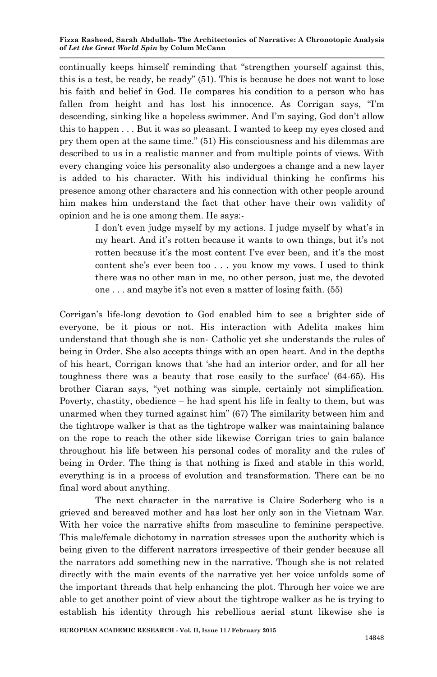continually keeps himself reminding that "strengthen yourself against this, this is a test, be ready, be ready" (51). This is because he does not want to lose his faith and belief in God. He compares his condition to a person who has fallen from height and has lost his innocence. As Corrigan says, "I'm descending, sinking like a hopeless swimmer. And I"m saying, God don"t allow this to happen . . . But it was so pleasant. I wanted to keep my eyes closed and pry them open at the same time." (51) His consciousness and his dilemmas are described to us in a realistic manner and from multiple points of views. With every changing voice his personality also undergoes a change and a new layer is added to his character. With his individual thinking he confirms his presence among other characters and his connection with other people around him makes him understand the fact that other have their own validity of opinion and he is one among them. He says:-

> I don't even judge myself by my actions. I judge myself by what's in my heart. And it's rotten because it wants to own things, but it's not rotten because it's the most content I've ever been, and it's the most content she"s ever been too . . . you know my vows. I used to think there was no other man in me, no other person, just me, the devoted one  $\dots$  and maybe it's not even a matter of losing faith. (55)

Corrigan"s life-long devotion to God enabled him to see a brighter side of everyone, be it pious or not. His interaction with Adelita makes him understand that though she is non- Catholic yet she understands the rules of being in Order. She also accepts things with an open heart. And in the depths of his heart, Corrigan knows that "she had an interior order, and for all her toughness there was a beauty that rose easily to the surface" (64-65). His brother Ciaran says, "yet nothing was simple, certainly not simplification. Poverty, chastity, obedience – he had spent his life in fealty to them, but was unarmed when they turned against him" (67) The similarity between him and the tightrope walker is that as the tightrope walker was maintaining balance on the rope to reach the other side likewise Corrigan tries to gain balance throughout his life between his personal codes of morality and the rules of being in Order. The thing is that nothing is fixed and stable in this world, everything is in a process of evolution and transformation. There can be no final word about anything.

The next character in the narrative is Claire Soderberg who is a grieved and bereaved mother and has lost her only son in the Vietnam War. With her voice the narrative shifts from masculine to feminine perspective. This male/female dichotomy in narration stresses upon the authority which is being given to the different narrators irrespective of their gender because all the narrators add something new in the narrative. Though she is not related directly with the main events of the narrative yet her voice unfolds some of the important threads that help enhancing the plot. Through her voice we are able to get another point of view about the tightrope walker as he is trying to establish his identity through his rebellious aerial stunt likewise she is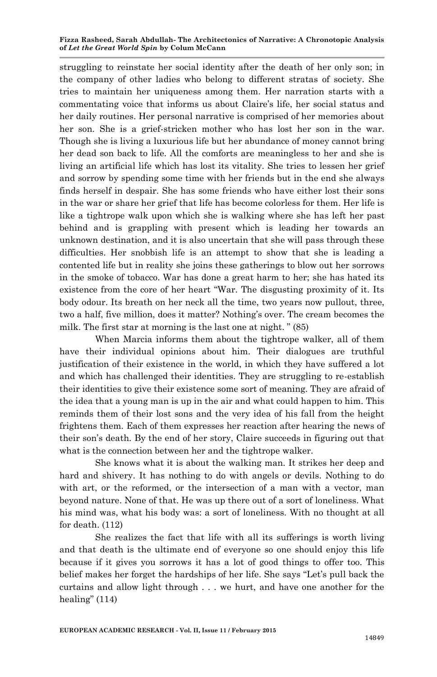struggling to reinstate her social identity after the death of her only son; in the company of other ladies who belong to different stratas of society. She tries to maintain her uniqueness among them. Her narration starts with a commentating voice that informs us about Claire"s life, her social status and her daily routines. Her personal narrative is comprised of her memories about her son. She is a grief-stricken mother who has lost her son in the war. Though she is living a luxurious life but her abundance of money cannot bring her dead son back to life. All the comforts are meaningless to her and she is living an artificial life which has lost its vitality. She tries to lessen her grief and sorrow by spending some time with her friends but in the end she always finds herself in despair. She has some friends who have either lost their sons in the war or share her grief that life has become colorless for them. Her life is like a tightrope walk upon which she is walking where she has left her past behind and is grappling with present which is leading her towards an unknown destination, and it is also uncertain that she will pass through these difficulties. Her snobbish life is an attempt to show that she is leading a contented life but in reality she joins these gatherings to blow out her sorrows in the smoke of tobacco. War has done a great harm to her; she has hated its existence from the core of her heart "War. The disgusting proximity of it. Its body odour. Its breath on her neck all the time, two years now pullout, three, two a half, five million, does it matter? Nothing's over. The cream becomes the milk. The first star at morning is the last one at night. " (85)

When Marcia informs them about the tightrope walker, all of them have their individual opinions about him. Their dialogues are truthful justification of their existence in the world, in which they have suffered a lot and which has challenged their identities. They are struggling to re-establish their identities to give their existence some sort of meaning. They are afraid of the idea that a young man is up in the air and what could happen to him. This reminds them of their lost sons and the very idea of his fall from the height frightens them. Each of them expresses her reaction after hearing the news of their son"s death. By the end of her story, Claire succeeds in figuring out that what is the connection between her and the tightrope walker.

She knows what it is about the walking man. It strikes her deep and hard and shivery. It has nothing to do with angels or devils. Nothing to do with art, or the reformed, or the intersection of a man with a vector, man beyond nature. None of that. He was up there out of a sort of loneliness. What his mind was, what his body was: a sort of loneliness. With no thought at all for death. (112)

She realizes the fact that life with all its sufferings is worth living and that death is the ultimate end of everyone so one should enjoy this life because if it gives you sorrows it has a lot of good things to offer too. This belief makes her forget the hardships of her life. She says "Let's pull back the curtains and allow light through . . . we hurt, and have one another for the healing" (114)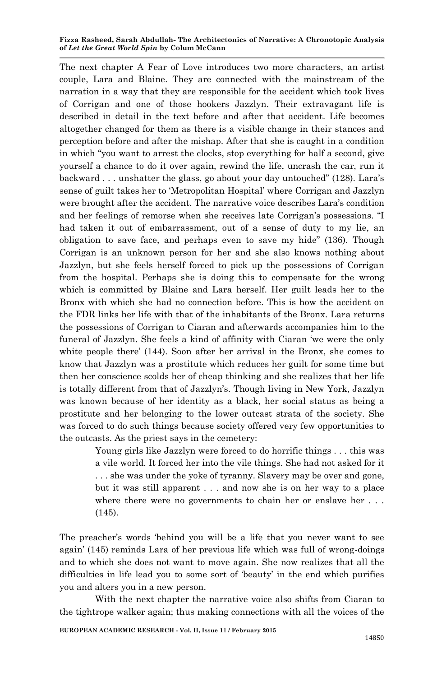The next chapter A Fear of Love introduces two more characters, an artist couple, Lara and Blaine. They are connected with the mainstream of the narration in a way that they are responsible for the accident which took lives of Corrigan and one of those hookers Jazzlyn. Their extravagant life is described in detail in the text before and after that accident. Life becomes altogether changed for them as there is a visible change in their stances and perception before and after the mishap. After that she is caught in a condition in which "you want to arrest the clocks, stop everything for half a second, give yourself a chance to do it over again, rewind the life, uncrash the car, run it backward . . . unshatter the glass, go about your day untouched" (128). Lara"s sense of guilt takes her to "Metropolitan Hospital" where Corrigan and Jazzlyn were brought after the accident. The narrative voice describes Lara's condition and her feelings of remorse when she receives late Corrigan"s possessions. "I had taken it out of embarrassment, out of a sense of duty to my lie, an obligation to save face, and perhaps even to save my hide" (136). Though Corrigan is an unknown person for her and she also knows nothing about Jazzlyn, but she feels herself forced to pick up the possessions of Corrigan from the hospital. Perhaps she is doing this to compensate for the wrong which is committed by Blaine and Lara herself. Her guilt leads her to the Bronx with which she had no connection before. This is how the accident on the FDR links her life with that of the inhabitants of the Bronx. Lara returns the possessions of Corrigan to Ciaran and afterwards accompanies him to the funeral of Jazzlyn. She feels a kind of affinity with Ciaran "we were the only white people there' (144). Soon after her arrival in the Bronx, she comes to know that Jazzlyn was a prostitute which reduces her guilt for some time but then her conscience scolds her of cheap thinking and she realizes that her life is totally different from that of Jazzlyn"s. Though living in New York, Jazzlyn was known because of her identity as a black, her social status as being a prostitute and her belonging to the lower outcast strata of the society. She was forced to do such things because society offered very few opportunities to the outcasts. As the priest says in the cemetery:

> Young girls like Jazzlyn were forced to do horrific things . . . this was a vile world. It forced her into the vile things. She had not asked for it . . . she was under the yoke of tyranny. Slavery may be over and gone, but it was still apparent . . . and now she is on her way to a place where there were no governments to chain her or enslave her . . . (145).

The preacher's words 'behind you will be a life that you never want to see again" (145) reminds Lara of her previous life which was full of wrong-doings and to which she does not want to move again. She now realizes that all the difficulties in life lead you to some sort of "beauty" in the end which purifies you and alters you in a new person.

With the next chapter the narrative voice also shifts from Ciaran to the tightrope walker again; thus making connections with all the voices of the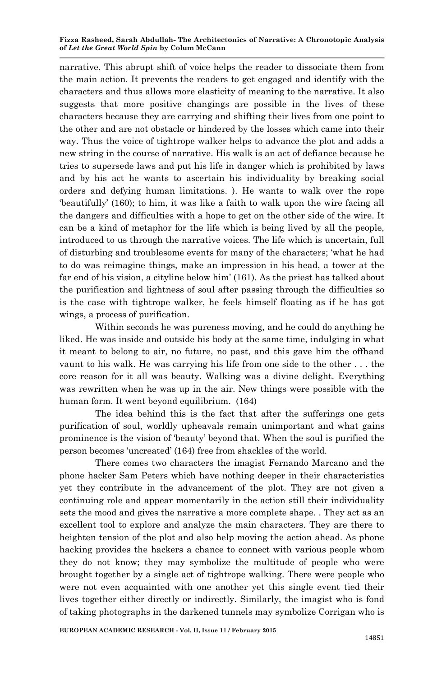narrative. This abrupt shift of voice helps the reader to dissociate them from the main action. It prevents the readers to get engaged and identify with the characters and thus allows more elasticity of meaning to the narrative. It also suggests that more positive changings are possible in the lives of these characters because they are carrying and shifting their lives from one point to the other and are not obstacle or hindered by the losses which came into their way. Thus the voice of tightrope walker helps to advance the plot and adds a new string in the course of narrative. His walk is an act of defiance because he tries to supersede laws and put his life in danger which is prohibited by laws and by his act he wants to ascertain his individuality by breaking social orders and defying human limitations. ). He wants to walk over the rope "beautifully" (160); to him, it was like a faith to walk upon the wire facing all the dangers and difficulties with a hope to get on the other side of the wire. It can be a kind of metaphor for the life which is being lived by all the people, introduced to us through the narrative voices. The life which is uncertain, full of disturbing and troublesome events for many of the characters; "what he had to do was reimagine things, make an impression in his head, a tower at the far end of his vision, a cityline below him" (161). As the priest has talked about the purification and lightness of soul after passing through the difficulties so is the case with tightrope walker, he feels himself floating as if he has got wings, a process of purification.

Within seconds he was pureness moving, and he could do anything he liked. He was inside and outside his body at the same time, indulging in what it meant to belong to air, no future, no past, and this gave him the offhand vaunt to his walk. He was carrying his life from one side to the other . . . the core reason for it all was beauty. Walking was a divine delight. Everything was rewritten when he was up in the air. New things were possible with the human form. It went beyond equilibrium. (164)

The idea behind this is the fact that after the sufferings one gets purification of soul, worldly upheavals remain unimportant and what gains prominence is the vision of "beauty" beyond that. When the soul is purified the person becomes "uncreated" (164) free from shackles of the world.

There comes two characters the imagist Fernando Marcano and the phone hacker Sam Peters which have nothing deeper in their characteristics yet they contribute in the advancement of the plot. They are not given a continuing role and appear momentarily in the action still their individuality sets the mood and gives the narrative a more complete shape. . They act as an excellent tool to explore and analyze the main characters. They are there to heighten tension of the plot and also help moving the action ahead. As phone hacking provides the hackers a chance to connect with various people whom they do not know; they may symbolize the multitude of people who were brought together by a single act of tightrope walking. There were people who were not even acquainted with one another yet this single event tied their lives together either directly or indirectly. Similarly, the imagist who is fond of taking photographs in the darkened tunnels may symbolize Corrigan who is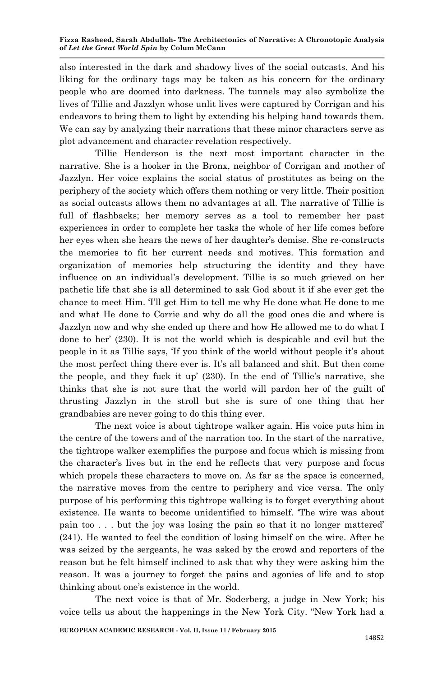also interested in the dark and shadowy lives of the social outcasts. And his liking for the ordinary tags may be taken as his concern for the ordinary people who are doomed into darkness. The tunnels may also symbolize the lives of Tillie and Jazzlyn whose unlit lives were captured by Corrigan and his endeavors to bring them to light by extending his helping hand towards them. We can say by analyzing their narrations that these minor characters serve as plot advancement and character revelation respectively.

Tillie Henderson is the next most important character in the narrative. She is a hooker in the Bronx, neighbor of Corrigan and mother of Jazzlyn. Her voice explains the social status of prostitutes as being on the periphery of the society which offers them nothing or very little. Their position as social outcasts allows them no advantages at all. The narrative of Tillie is full of flashbacks; her memory serves as a tool to remember her past experiences in order to complete her tasks the whole of her life comes before her eyes when she hears the news of her daughter"s demise. She re-constructs the memories to fit her current needs and motives. This formation and organization of memories help structuring the identity and they have influence on an individual"s development. Tillie is so much grieved on her pathetic life that she is all determined to ask God about it if she ever get the chance to meet Him. T'll get Him to tell me why He done what He done to me and what He done to Corrie and why do all the good ones die and where is Jazzlyn now and why she ended up there and how He allowed me to do what I done to her" (230). It is not the world which is despicable and evil but the people in it as Tillie says, 'If you think of the world without people it's about the most perfect thing there ever is. It's all balanced and shit. But then come the people, and they fuck it up'  $(230)$ . In the end of Tillie's narrative, she thinks that she is not sure that the world will pardon her of the guilt of thrusting Jazzlyn in the stroll but she is sure of one thing that her grandbabies are never going to do this thing ever.

The next voice is about tightrope walker again. His voice puts him in the centre of the towers and of the narration too. In the start of the narrative, the tightrope walker exemplifies the purpose and focus which is missing from the character"s lives but in the end he reflects that very purpose and focus which propels these characters to move on. As far as the space is concerned, the narrative moves from the centre to periphery and vice versa. The only purpose of his performing this tightrope walking is to forget everything about existence. He wants to become unidentified to himself. "The wire was about pain too . . . but the joy was losing the pain so that it no longer mattered" (241). He wanted to feel the condition of losing himself on the wire. After he was seized by the sergeants, he was asked by the crowd and reporters of the reason but he felt himself inclined to ask that why they were asking him the reason. It was a journey to forget the pains and agonies of life and to stop thinking about one"s existence in the world.

The next voice is that of Mr. Soderberg, a judge in New York; his voice tells us about the happenings in the New York City. "New York had a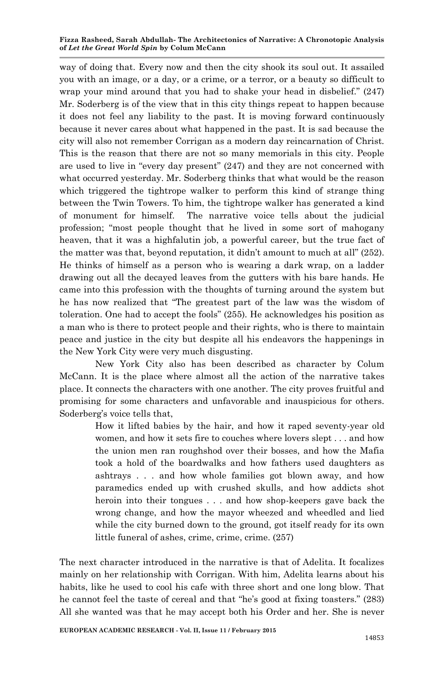way of doing that. Every now and then the city shook its soul out. It assailed you with an image, or a day, or a crime, or a terror, or a beauty so difficult to wrap your mind around that you had to shake your head in disbelief." (247) Mr. Soderberg is of the view that in this city things repeat to happen because it does not feel any liability to the past. It is moving forward continuously because it never cares about what happened in the past. It is sad because the city will also not remember Corrigan as a modern day reincarnation of Christ. This is the reason that there are not so many memorials in this city. People are used to live in "every day present" (247) and they are not concerned with what occurred yesterday. Mr. Soderberg thinks that what would be the reason which triggered the tightrope walker to perform this kind of strange thing between the Twin Towers. To him, the tightrope walker has generated a kind of monument for himself. The narrative voice tells about the judicial profession; "most people thought that he lived in some sort of mahogany heaven, that it was a highfalutin job, a powerful career, but the true fact of the matter was that, beyond reputation, it didn"t amount to much at all" (252). He thinks of himself as a person who is wearing a dark wrap, on a ladder drawing out all the decayed leaves from the gutters with his bare hands. He came into this profession with the thoughts of turning around the system but he has now realized that "The greatest part of the law was the wisdom of toleration. One had to accept the fools" (255). He acknowledges his position as a man who is there to protect people and their rights, who is there to maintain peace and justice in the city but despite all his endeavors the happenings in the New York City were very much disgusting.

New York City also has been described as character by Colum McCann. It is the place where almost all the action of the narrative takes place. It connects the characters with one another. The city proves fruitful and promising for some characters and unfavorable and inauspicious for others. Soderberg's voice tells that,

> How it lifted babies by the hair, and how it raped seventy-year old women, and how it sets fire to couches where lovers slept . . . and how the union men ran roughshod over their bosses, and how the Mafia took a hold of the boardwalks and how fathers used daughters as ashtrays . . . and how whole families got blown away, and how paramedics ended up with crushed skulls, and how addicts shot heroin into their tongues . . . and how shop-keepers gave back the wrong change, and how the mayor wheezed and wheedled and lied while the city burned down to the ground, got itself ready for its own little funeral of ashes, crime, crime, crime. (257)

The next character introduced in the narrative is that of Adelita. It focalizes mainly on her relationship with Corrigan. With him, Adelita learns about his habits, like he used to cool his cafe with three short and one long blow. That he cannot feel the taste of cereal and that "he's good at fixing toasters." (283) All she wanted was that he may accept both his Order and her. She is never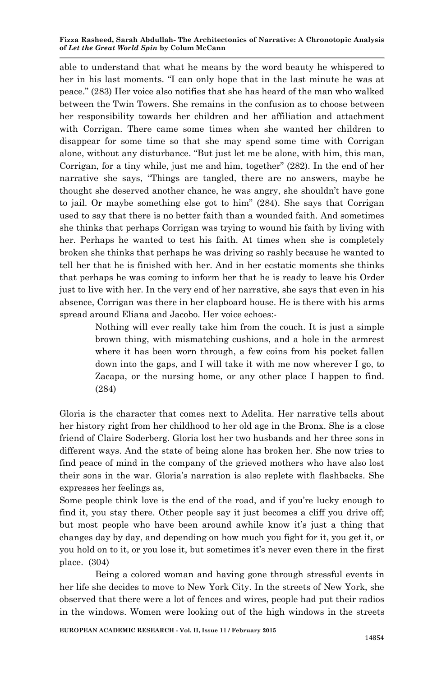able to understand that what he means by the word beauty he whispered to her in his last moments. "I can only hope that in the last minute he was at peace." (283) Her voice also notifies that she has heard of the man who walked between the Twin Towers. She remains in the confusion as to choose between her responsibility towards her children and her affiliation and attachment with Corrigan. There came some times when she wanted her children to disappear for some time so that she may spend some time with Corrigan alone, without any disturbance. "But just let me be alone, with him, this man, Corrigan, for a tiny while, just me and him, together" (282). In the end of her narrative she says, "Things are tangled, there are no answers, maybe he thought she deserved another chance, he was angry, she shouldn"t have gone to jail. Or maybe something else got to him" (284). She says that Corrigan used to say that there is no better faith than a wounded faith. And sometimes she thinks that perhaps Corrigan was trying to wound his faith by living with her. Perhaps he wanted to test his faith. At times when she is completely broken she thinks that perhaps he was driving so rashly because he wanted to tell her that he is finished with her. And in her ecstatic moments she thinks that perhaps he was coming to inform her that he is ready to leave his Order just to live with her. In the very end of her narrative, she says that even in his absence, Corrigan was there in her clapboard house. He is there with his arms spread around Eliana and Jacobo. Her voice echoes:-

> Nothing will ever really take him from the couch. It is just a simple brown thing, with mismatching cushions, and a hole in the armrest where it has been worn through, a few coins from his pocket fallen down into the gaps, and I will take it with me now wherever I go, to Zacapa, or the nursing home, or any other place I happen to find. (284)

Gloria is the character that comes next to Adelita. Her narrative tells about her history right from her childhood to her old age in the Bronx. She is a close friend of Claire Soderberg. Gloria lost her two husbands and her three sons in different ways. And the state of being alone has broken her. She now tries to find peace of mind in the company of the grieved mothers who have also lost their sons in the war. Gloria"s narration is also replete with flashbacks. She expresses her feelings as,

Some people think love is the end of the road, and if you"re lucky enough to find it, you stay there. Other people say it just becomes a cliff you drive off; but most people who have been around awhile know it's just a thing that changes day by day, and depending on how much you fight for it, you get it, or you hold on to it, or you lose it, but sometimes it's never even there in the first place. (304)

Being a colored woman and having gone through stressful events in her life she decides to move to New York City. In the streets of New York, she observed that there were a lot of fences and wires, people had put their radios in the windows. Women were looking out of the high windows in the streets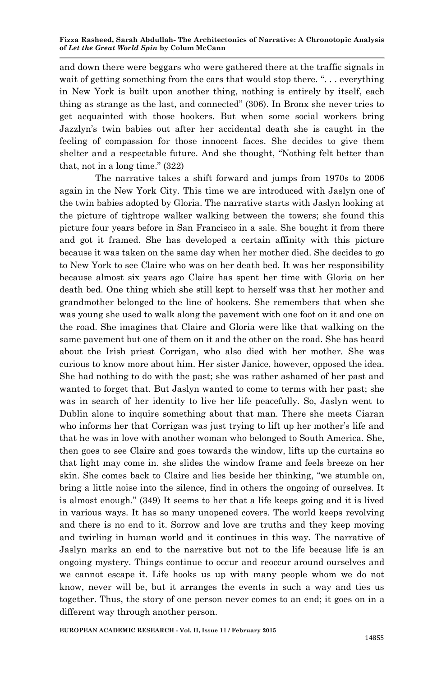and down there were beggars who were gathered there at the traffic signals in wait of getting something from the cars that would stop there. "... everything in New York is built upon another thing, nothing is entirely by itself, each thing as strange as the last, and connected" (306). In Bronx she never tries to get acquainted with those hookers. But when some social workers bring Jazzlyn"s twin babies out after her accidental death she is caught in the feeling of compassion for those innocent faces. She decides to give them shelter and a respectable future. And she thought, "Nothing felt better than that, not in a long time." (322)

The narrative takes a shift forward and jumps from 1970s to 2006 again in the New York City. This time we are introduced with Jaslyn one of the twin babies adopted by Gloria. The narrative starts with Jaslyn looking at the picture of tightrope walker walking between the towers; she found this picture four years before in San Francisco in a sale. She bought it from there and got it framed. She has developed a certain affinity with this picture because it was taken on the same day when her mother died. She decides to go to New York to see Claire who was on her death bed. It was her responsibility because almost six years ago Claire has spent her time with Gloria on her death bed. One thing which she still kept to herself was that her mother and grandmother belonged to the line of hookers. She remembers that when she was young she used to walk along the pavement with one foot on it and one on the road. She imagines that Claire and Gloria were like that walking on the same pavement but one of them on it and the other on the road. She has heard about the Irish priest Corrigan, who also died with her mother. She was curious to know more about him. Her sister Janice, however, opposed the idea. She had nothing to do with the past; she was rather ashamed of her past and wanted to forget that. But Jaslyn wanted to come to terms with her past; she was in search of her identity to live her life peacefully. So, Jaslyn went to Dublin alone to inquire something about that man. There she meets Ciaran who informs her that Corrigan was just trying to lift up her mother"s life and that he was in love with another woman who belonged to South America. She, then goes to see Claire and goes towards the window, lifts up the curtains so that light may come in. she slides the window frame and feels breeze on her skin. She comes back to Claire and lies beside her thinking, "we stumble on, bring a little noise into the silence, find in others the ongoing of ourselves. It is almost enough." (349) It seems to her that a life keeps going and it is lived in various ways. It has so many unopened covers. The world keeps revolving and there is no end to it. Sorrow and love are truths and they keep moving and twirling in human world and it continues in this way. The narrative of Jaslyn marks an end to the narrative but not to the life because life is an ongoing mystery. Things continue to occur and reoccur around ourselves and we cannot escape it. Life hooks us up with many people whom we do not know, never will be, but it arranges the events in such a way and ties us together. Thus, the story of one person never comes to an end; it goes on in a different way through another person.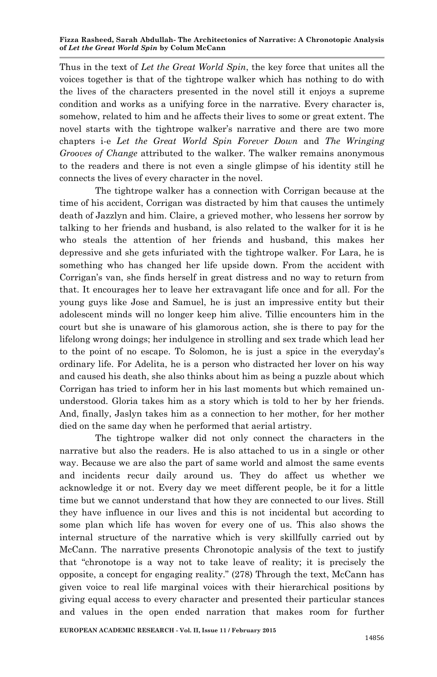Thus in the text of *Let the Great World Spin*, the key force that unites all the voices together is that of the tightrope walker which has nothing to do with the lives of the characters presented in the novel still it enjoys a supreme condition and works as a unifying force in the narrative. Every character is, somehow, related to him and he affects their lives to some or great extent. The novel starts with the tightrope walker"s narrative and there are two more chapters i-e *Let the Great World Spin Forever Down* and *The Wringing Grooves of Change* attributed to the walker. The walker remains anonymous to the readers and there is not even a single glimpse of his identity still he connects the lives of every character in the novel.

The tightrope walker has a connection with Corrigan because at the time of his accident, Corrigan was distracted by him that causes the untimely death of Jazzlyn and him. Claire, a grieved mother, who lessens her sorrow by talking to her friends and husband, is also related to the walker for it is he who steals the attention of her friends and husband, this makes her depressive and she gets infuriated with the tightrope walker. For Lara, he is something who has changed her life upside down. From the accident with Corrigan"s van, she finds herself in great distress and no way to return from that. It encourages her to leave her extravagant life once and for all. For the young guys like Jose and Samuel, he is just an impressive entity but their adolescent minds will no longer keep him alive. Tillie encounters him in the court but she is unaware of his glamorous action, she is there to pay for the lifelong wrong doings; her indulgence in strolling and sex trade which lead her to the point of no escape. To Solomon, he is just a spice in the everyday"s ordinary life. For Adelita, he is a person who distracted her lover on his way and caused his death, she also thinks about him as being a puzzle about which Corrigan has tried to inform her in his last moments but which remained ununderstood. Gloria takes him as a story which is told to her by her friends. And, finally, Jaslyn takes him as a connection to her mother, for her mother died on the same day when he performed that aerial artistry.

The tightrope walker did not only connect the characters in the narrative but also the readers. He is also attached to us in a single or other way. Because we are also the part of same world and almost the same events and incidents recur daily around us. They do affect us whether we acknowledge it or not. Every day we meet different people, be it for a little time but we cannot understand that how they are connected to our lives. Still they have influence in our lives and this is not incidental but according to some plan which life has woven for every one of us. This also shows the internal structure of the narrative which is very skillfully carried out by McCann. The narrative presents Chronotopic analysis of the text to justify that "chronotope is a way not to take leave of reality; it is precisely the opposite, a concept for engaging reality." (278) Through the text, McCann has given voice to real life marginal voices with their hierarchical positions by giving equal access to every character and presented their particular stances and values in the open ended narration that makes room for further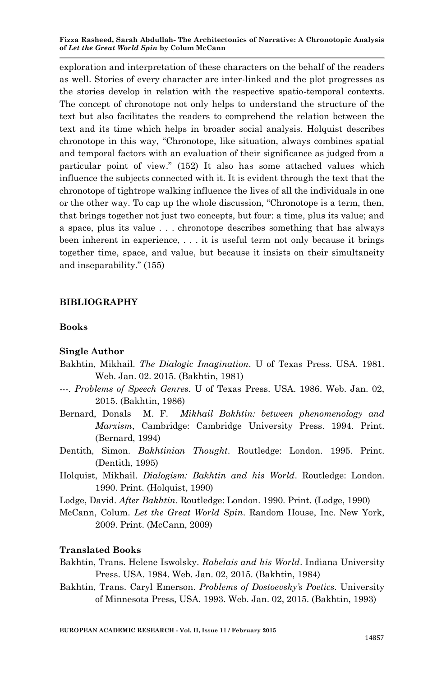exploration and interpretation of these characters on the behalf of the readers as well. Stories of every character are inter-linked and the plot progresses as the stories develop in relation with the respective spatio-temporal contexts. The concept of chronotope not only helps to understand the structure of the text but also facilitates the readers to comprehend the relation between the text and its time which helps in broader social analysis. Holquist describes chronotope in this way, "Chronotope, like situation, always combines spatial and temporal factors with an evaluation of their significance as judged from a particular point of view." (152) It also has some attached values which influence the subjects connected with it. It is evident through the text that the chronotope of tightrope walking influence the lives of all the individuals in one or the other way. To cap up the whole discussion, "Chronotope is a term, then, that brings together not just two concepts, but four: a time, plus its value; and a space, plus its value . . . chronotope describes something that has always been inherent in experience, . . . it is useful term not only because it brings together time, space, and value, but because it insists on their simultaneity and inseparability." (155)

# **BIBLIOGRAPHY**

### **Books**

### **Single Author**

- Bakhtin, Mikhail. *The Dialogic Imagination*. U of Texas Press. USA. 1981. Web. Jan. 02. 2015. (Bakhtin, 1981)
- ---. *Problems of Speech Genres*. U of Texas Press. USA. 1986. Web. Jan. 02, 2015. (Bakhtin, 1986)
- Bernard, Donals M. F. *Mikhail Bakhtin: between phenomenology and Marxism*, Cambridge: Cambridge University Press. 1994. Print. (Bernard, 1994)
- Dentith, Simon. *Bakhtinian Thought*. Routledge: London. 1995. Print. (Dentith, 1995)
- Holquist, Mikhail. *Dialogism: Bakhtin and his World*. Routledge: London. 1990. Print. (Holquist, 1990)
- Lodge, David. *After Bakhtin*. Routledge: London. 1990. Print. (Lodge, 1990)
- McCann, Colum. *Let the Great World Spin*. Random House, Inc. New York, 2009. Print. (McCann, 2009)

### **Translated Books**

- Bakhtin, Trans. Helene Iswolsky. *Rabelais and his World*. Indiana University Press. USA. 1984. Web. Jan. 02, 2015. (Bakhtin, 1984)
- Bakhtin, Trans. Caryl Emerson. *Problems of Dostoevsky's Poetics*. University of Minnesota Press, USA. 1993. Web. Jan. 02, 2015. (Bakhtin, 1993)